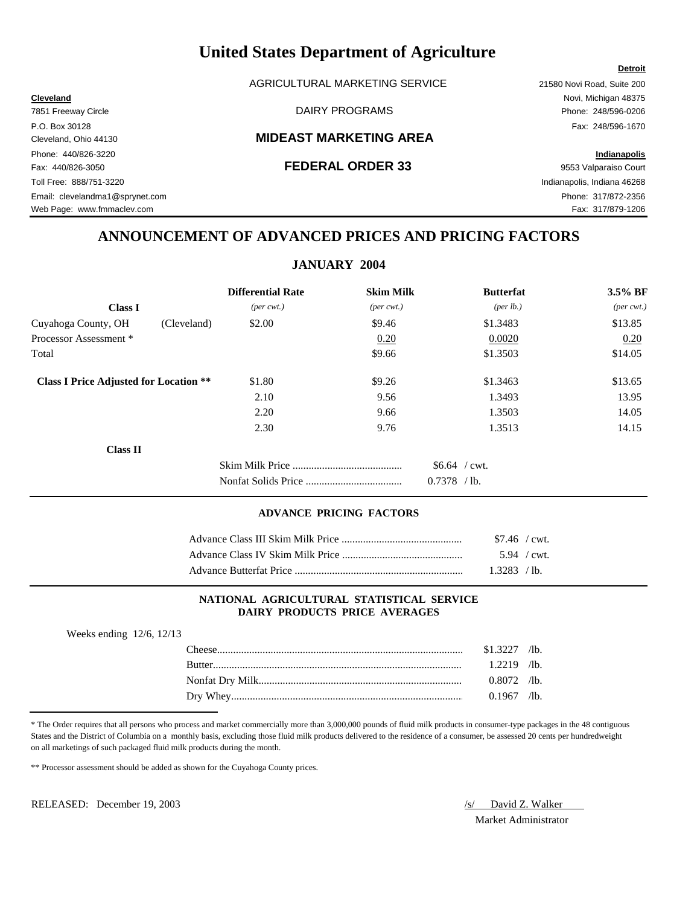AGRICULTURAL MARKETING SERVICE 21580 Novi Road, Suite 200

### Cleveland, Ohio 44130 **MIDEAST MARKETING AREA**

Web Page: www.fmmaclev.com example of the community of the community of the community of the community of the community of the community of the community of the community of the community of the community of the community

## **ANNOUNCEMENT OF ADVANCED PRICES AND PRICING FACTORS**

## **JANUARY 2004**

|                                               | <b>Differential Rate</b>    | <b>Skim Milk</b>            | <b>Butterfat</b>     | 3.5% BF                     |
|-----------------------------------------------|-----------------------------|-----------------------------|----------------------|-----------------------------|
| <b>Class I</b>                                | $(\text{per} \text{ cwt.})$ | $(\text{per} \text{ cwt.})$ | ${\rm (per \, lb.)}$ | $(\text{per} \text{ cwt.})$ |
| Cuyahoga County, OH<br>(Cleveland)            | \$2.00                      | \$9.46                      | \$1.3483             | \$13.85                     |
| Processor Assessment *                        |                             | 0.20                        | 0.0020               | 0.20                        |
| Total                                         |                             | \$9.66                      | \$1.3503             | \$14.05                     |
| <b>Class I Price Adjusted for Location **</b> | \$1.80                      | \$9.26                      | \$1.3463             | \$13.65                     |
|                                               | 2.10                        | 9.56                        | 1.3493               | 13.95                       |
|                                               | 2.20                        | 9.66                        | 1.3503               | 14.05                       |
|                                               | 2.30                        | 9.76                        | 1.3513               | 14.15                       |
| <b>Class II</b>                               |                             |                             |                      |                             |
|                                               |                             |                             | $$6.64$ / cwt.       |                             |
|                                               |                             |                             | 0.7378<br>$/1b$ .    |                             |

### **ADVANCE PRICING FACTORS**

| $$7.46$ / cwt. |  |
|----------------|--|
| 5.94 / cwt.    |  |
| 1.3283 / lb.   |  |

### **NATIONAL AGRICULTURAL STATISTICAL SERVICE DAIRY PRODUCTS PRICE AVERAGES**

| Weeks ending $12/6$ , $12/13$ |                |  |
|-------------------------------|----------------|--|
|                               | $$1.3227$ /lb. |  |
| <b>Rutter</b>                 | $1.2219$ /lb.  |  |
|                               | $0.8072$ /lb.  |  |
|                               | $0.1967$ /lb.  |  |

\* The Order requires that all persons who process and market commercially more than 3,000,000 pounds of fluid milk products in consumer-type packages in the 48 contiguous States and the District of Columbia on a monthly basis, excluding those fluid milk products delivered to the residence of a consumer, be assessed 20 cents per hundredweight on all marketings of such packaged fluid milk products during the month.

\*\* Processor assessment should be added as shown for the Cuyahoga County prices.

RELEASED: December 19, 2003 /s/ David Z. Walker

Market Administrator

### **Detroit**

**Cleveland** Novi, Michigan 48375 7851 Freeway Circle **Example 248/596-0206** DAIRY PROGRAMS **Phone: 248/596-0206** P.O. Box 30128 Fax: 248/596-1670 Phone: 440/826-3220 **Indianapolis** Fax: 440/826-3050 **FEDERAL ORDER 33** 9553 Valparaiso Court Toll Free: 888/751-3220 Indianapolis, Indiana 46268 Email: clevelandma1@sprynet.com Phone: 317/872-2356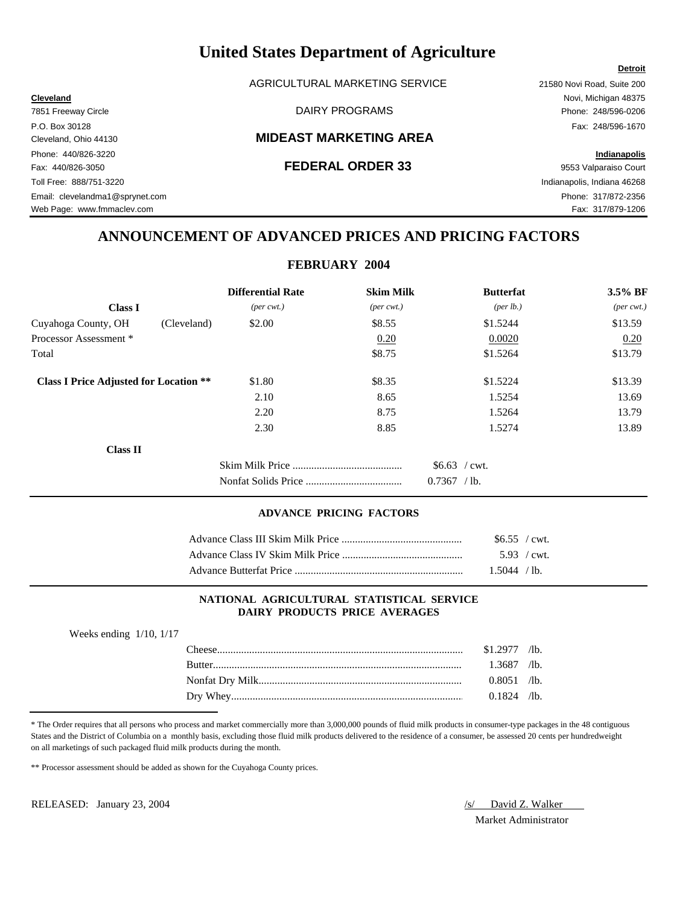AGRICULTURAL MARKETING SERVICE 21580 Novi Road, Suite 200

### Cleveland, Ohio 44130 **MIDEAST MARKETING AREA**

### Fax: 440/826-3050 **FEDERAL ORDER 33** 9553 Valparaiso Court

**Detroit**

Web Page: www.fmmaclev.com example of the community of the community of the community of the community of the community of the community of the community of the community of the community of the community of the community

## **ANNOUNCEMENT OF ADVANCED PRICES AND PRICING FACTORS**

### **FEBRUARY 2004**

|                                               | <b>Differential Rate</b>    | <b>Skim Milk</b>            | <b>Butterfat</b>     | 3.5% BF                     |
|-----------------------------------------------|-----------------------------|-----------------------------|----------------------|-----------------------------|
| <b>Class I</b>                                | $(\text{per} \text{ cwt.})$ | $(\text{per} \text{ cwt.})$ | ${\rm (per \, lb.)}$ | $(\text{per} \text{ cwt.})$ |
| Cuyahoga County, OH<br>(Cleveland)            | \$2.00                      | \$8.55                      | \$1.5244             | \$13.59                     |
| Processor Assessment *                        |                             | 0.20                        | 0.0020               | 0.20                        |
| Total                                         |                             | \$8.75                      | \$1.5264             | \$13.79                     |
| <b>Class I Price Adjusted for Location **</b> | \$1.80                      | \$8.35                      | \$1.5224             | \$13.39                     |
|                                               | 2.10                        | 8.65                        | 1.5254               | 13.69                       |
|                                               | 2.20                        | 8.75                        | 1.5264               | 13.79                       |
|                                               | 2.30                        | 8.85                        | 1.5274               | 13.89                       |
| <b>Class II</b>                               |                             |                             |                      |                             |
|                                               |                             |                             | $$6.63$ / cwt.       |                             |
|                                               |                             |                             | 0.7367<br>$/1b$ .    |                             |

### **ADVANCE PRICING FACTORS**

| \$6.55 / cwt.  |  |
|----------------|--|
| 5.93 / cwt.    |  |
| $1.5044 /$ 1b. |  |

### **NATIONAL AGRICULTURAL STATISTICAL SERVICE DAIRY PRODUCTS PRICE AVERAGES**

| Weeks ending $1/10$ , $1/17$ |                |  |
|------------------------------|----------------|--|
| l 'heese'                    | $$1.2977$ /lb. |  |
| <b>Butter</b>                | 1.3687 /lb.    |  |
|                              | $0.8051$ /lb.  |  |
|                              | $0.1824$ /lb.  |  |

\* The Order requires that all persons who process and market commercially more than 3,000,000 pounds of fluid milk products in consumer-type packages in the 48 contiguous States and the District of Columbia on a monthly basis, excluding those fluid milk products delivered to the residence of a consumer, be assessed 20 cents per hundredweight on all marketings of such packaged fluid milk products during the month.

\*\* Processor assessment should be added as shown for the Cuyahoga County prices.

RELEASED: January 23, 2004 *(s)* David Z. Walker

Market Administrator

**Cleveland** Novi, Michigan 48375

7851 Freeway Circle **Example 248/596-0206** DAIRY PROGRAMS **Phone: 248/596-0206** P.O. Box 30128 Fax: 248/596-1670 Phone: 440/826-3220 **Indianapolis** Toll Free: 888/751-3220 Indianapolis, Indiana 46268 Email: clevelandma1@sprynet.com Phone: 317/872-2356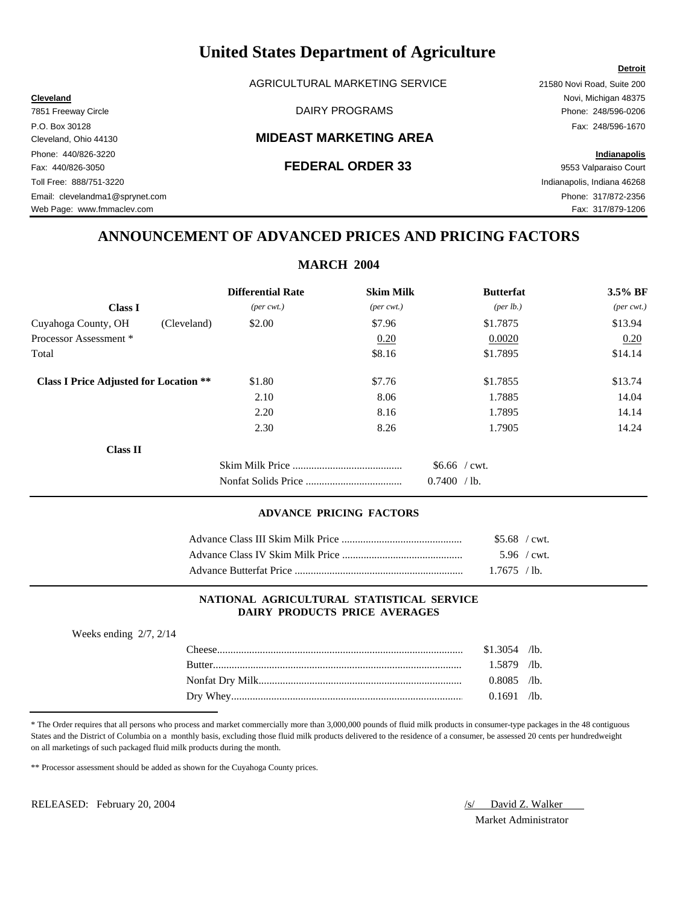AGRICULTURAL MARKETING SERVICE 21580 Novi Road, Suite 200

### Cleveland, Ohio 44130 **MIDEAST MARKETING AREA**

## **ANNOUNCEMENT OF ADVANCED PRICES AND PRICING FACTORS**

## **MARCH 2004**

|                                               | <b>Differential Rate</b>    | <b>Skim Milk</b>            | <b>Butterfat</b>     | 3.5% BF                     |
|-----------------------------------------------|-----------------------------|-----------------------------|----------------------|-----------------------------|
| <b>Class I</b>                                | $(\text{per} \text{ cwt.})$ | $(\text{per} \text{ cwt.})$ | ${\rm (per \, lb.)}$ | $(\text{per} \text{ cwt.})$ |
| (Cleveland)<br>Cuyahoga County, OH            | \$2.00                      | \$7.96                      | \$1.7875             | \$13.94                     |
| Processor Assessment *                        |                             | 0.20                        | 0.0020               | 0.20                        |
| Total                                         |                             | \$8.16                      | \$1.7895             | \$14.14                     |
| <b>Class I Price Adjusted for Location **</b> | \$1.80                      | \$7.76                      | \$1.7855             | \$13.74                     |
|                                               | 2.10                        | 8.06                        | 1.7885               | 14.04                       |
|                                               | 2.20                        | 8.16                        | 1.7895               | 14.14                       |
|                                               | 2.30                        | 8.26                        | 1.7905               | 14.24                       |
| <b>Class II</b>                               |                             |                             |                      |                             |
|                                               |                             |                             | $$6.66$ / cwt.       |                             |
|                                               |                             |                             | 0.7400 / lb.         |                             |

### **ADVANCE PRICING FACTORS**

| $$5.68$ / cwt. |  |
|----------------|--|
| $5.96$ / cwt.  |  |
| $1.7675$ / lb. |  |

### **NATIONAL AGRICULTURAL STATISTICAL SERVICE DAIRY PRODUCTS PRICE AVERAGES**

| Weeks ending $2/7$ , $2/14$ |                |  |
|-----------------------------|----------------|--|
|                             | $$1.3054$ /lb. |  |
|                             | $1.5879$ /lb.  |  |
|                             | $0.8085$ /lb.  |  |
|                             | $0.1691$ /lb.  |  |
|                             |                |  |

\* The Order requires that all persons who process and market commercially more than 3,000,000 pounds of fluid milk products in consumer-type packages in the 48 contiguous States and the District of Columbia on a monthly basis, excluding those fluid milk products delivered to the residence of a consumer, be assessed 20 cents per hundredweight on all marketings of such packaged fluid milk products during the month.

\*\* Processor assessment should be added as shown for the Cuyahoga County prices.

RELEASED: February 20, 2004 *(s)* David Z. Walker

Market Administrator

### **Detroit**

7851 Freeway Circle **Example 248/596-0206** DAIRY PROGRAMS **Phone: 248/596-0206** P.O. Box 30128 Fax: 248/596-1670 Phone: 440/826-3220 **Indianapolis** Fax: 440/826-3050 **FEDERAL ORDER 33** 9553 Valparaiso Court Toll Free: 888/751-3220 Indianapolis, Indiana 46268 Email: clevelandma1@sprynet.com Phone: 317/872-2356

Web Page: www.fmmaclev.com example of the state of the state of the state of the state of the State of Tax: 317/879-1206

|                        |             | м                           |
|------------------------|-------------|-----------------------------|
|                        |             | <b>Differential Rate</b>    |
| <b>Class I</b>         |             | $(\text{per} \text{ cwt.})$ |
| Cuyahoga County, OH    | (Cleveland) | \$2.00                      |
| Processor Assessment * |             |                             |

### **Cleveland** Novi, Michigan 48375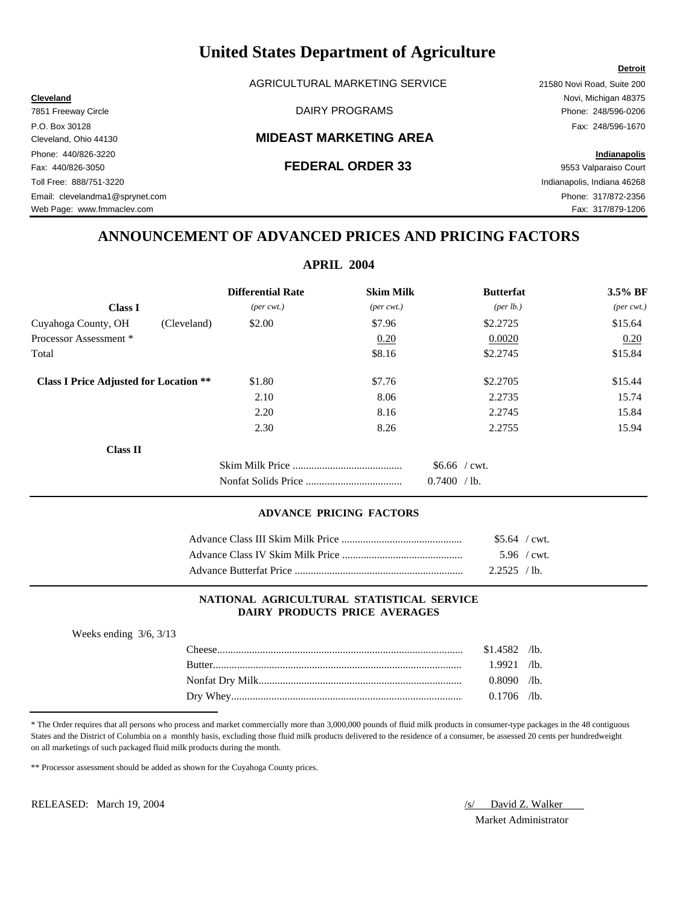AGRICULTURAL MARKETING SERVICE 21580 Novi Road, Suite 200

### Cleveland, Ohio 44130 **MIDEAST MARKETING AREA**

**Cleveland** Novi, Michigan 48375

Web Page: www.fmmaclev.com example of the state of the state of the state of the state of the State of Tax: 317/879-1206

# **ANNOUNCEMENT OF ADVANCED PRICES AND PRICING FACTORS**

# **APRIL 2004**

|                                               | <b>Differential Rate</b>    | <b>Skim Milk</b>            | <b>Butterfat</b>     | 3.5% BF                     |
|-----------------------------------------------|-----------------------------|-----------------------------|----------------------|-----------------------------|
| <b>Class I</b>                                | $(\text{per} \text{ cwt.})$ | $(\text{per} \text{ cwt.})$ | ${\rm (per \, lb.)}$ | $(\text{per} \text{ cwt.})$ |
| Cuyahoga County, OH<br>(Cleveland)            | \$2.00                      | \$7.96                      | \$2,2725             | \$15.64                     |
| Processor Assessment *                        |                             | 0.20                        | 0.0020               | 0.20                        |
| Total                                         |                             | \$8.16                      | \$2,2745             | \$15.84                     |
| <b>Class I Price Adjusted for Location **</b> | \$1.80                      | \$7.76                      | \$2,2705             | \$15.44                     |
|                                               | 2.10                        | 8.06                        | 2.2735               | 15.74                       |
|                                               | 2.20                        | 8.16                        | 2.2745               | 15.84                       |
|                                               | 2.30                        | 8.26                        | 2.2755               | 15.94                       |
| <b>Class II</b>                               |                             |                             |                      |                             |
|                                               |                             |                             | $$6.66$ / cwt.       |                             |
|                                               |                             |                             | 0.7400<br>$/1b$ .    |                             |

### **ADVANCE PRICING FACTORS**

| $$5.64$ / cwt. |  |
|----------------|--|
| $5.96$ / cwt.  |  |
| 2.2525 / lb.   |  |

### **NATIONAL AGRICULTURAL STATISTICAL SERVICE DAIRY PRODUCTS PRICE AVERAGES**

| $$1.4582$ /lb. |  |
|----------------|--|
| $1.9921$ /lb.  |  |
| $0.8090$ /lb.  |  |
| $0.1706$ /lb.  |  |
|                |  |

\* The Order requires that all persons who process and market commercially more than 3,000,000 pounds of fluid milk products in consumer-type packages in the 48 contiguous States and the District of Columbia on a monthly basis, excluding those fluid milk products delivered to the residence of a consumer, be assessed 20 cents per hundredweight on all marketings of such packaged fluid milk products during the month.

\*\* Processor assessment should be added as shown for the Cuyahoga County prices.

RELEASED: March 19, 2004 *S/ David Z. Walker* 

Market Administrator

7851 Freeway Circle **Example 248/596-0206** DAIRY PROGRAMS **Phone: 248/596-0206** P.O. Box 30128 Fax: 248/596-1670 Phone: 440/826-3220 **Indianapolis** Fax: 440/826-3050 **FEDERAL ORDER 33** 9553 Valparaiso Court Toll Free: 888/751-3220 Indianapolis, Indiana 46268 Email: clevelandma1@sprynet.com Phone: 317/872-2356

**Detroit**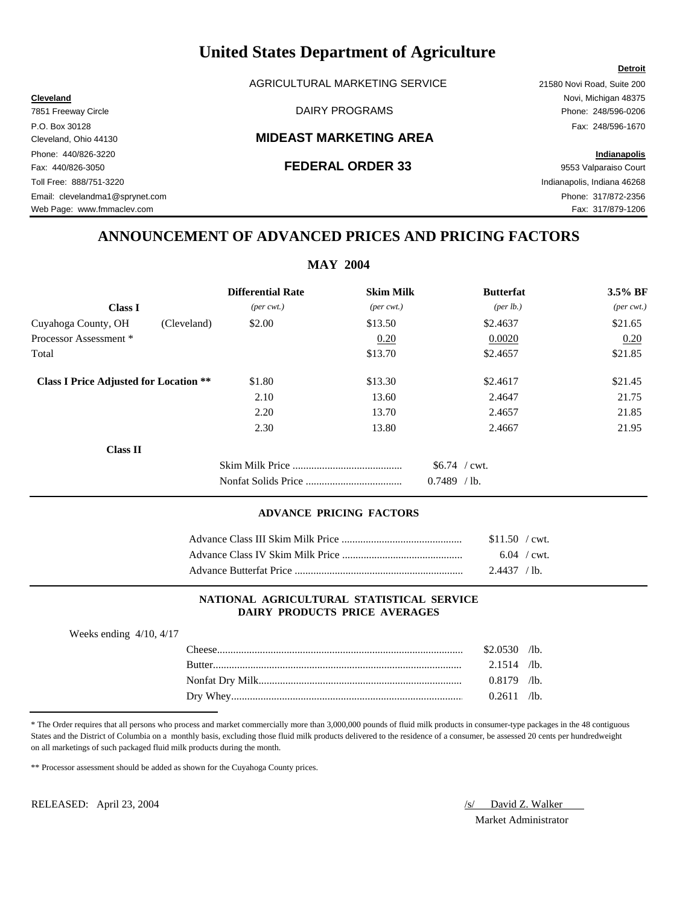AGRICULTURAL MARKETING SERVICE 21580 Novi Road, Suite 200

### Cleveland, Ohio 44130 **MIDEAST MARKETING AREA**

### Fax: 440/826-3050 **FEDERAL ORDER 33** 9553 Valparaiso Court

## **ANNOUNCEMENT OF ADVANCED PRICES AND PRICING FACTORS**

| <b>MAY 2004</b>                               |                             |                             |                  |                             |  |  |
|-----------------------------------------------|-----------------------------|-----------------------------|------------------|-----------------------------|--|--|
|                                               | <b>Differential Rate</b>    | <b>Skim Milk</b>            | <b>Butterfat</b> | $3.5\%$ BF                  |  |  |
| <b>Class I</b>                                | $(\text{per} \text{ cwt.})$ | $(\text{per} \text{ cwt.})$ | (per lb.)        | $(\text{per} \text{ cwt.})$ |  |  |
| Cuyahoga County, OH<br>(Cleveland)            | \$2.00                      | \$13.50                     | \$2.4637         | \$21.65                     |  |  |
| Processor Assessment*                         |                             | 0.20                        | 0.0020           | 0.20                        |  |  |
| Total                                         |                             | \$13.70                     | \$2.4657         | \$21.85                     |  |  |
| <b>Class I Price Adjusted for Location **</b> | \$1.80                      | \$13.30                     | \$2.4617         | \$21.45                     |  |  |
|                                               | 2.10                        | 13.60                       | 2.4647           | 21.75                       |  |  |
|                                               | 2.20                        | 13.70                       | 2.4657           | 21.85                       |  |  |
|                                               | 2.30                        | 13.80                       | 2.4667           | 21.95                       |  |  |
| <b>Class II</b>                               |                             |                             |                  |                             |  |  |
|                                               |                             |                             | $$6.74$ / cwt.   |                             |  |  |
|                                               |                             |                             | $0.7489$ /lb.    |                             |  |  |

### **ADVANCE PRICING FACTORS**

| $$11.50$ / cwt. |  |
|-----------------|--|
| $6.04$ / cwt.   |  |
| 2.4437 / lb.    |  |

### **NATIONAL AGRICULTURAL STATISTICAL SERVICE DAIRY PRODUCTS PRICE AVERAGES**

| Weeks ending $4/10$ , $4/17$ |                |  |
|------------------------------|----------------|--|
|                              | $$2.0530$ /lb. |  |
| <b>Butter</b>                | $2.1514$ /lb.  |  |
|                              | $0.8179$ /lb.  |  |
|                              | $0.2611$ /lb.  |  |

\* The Order requires that all persons who process and market commercially more than 3,000,000 pounds of fluid milk products in consumer-type packages in the 48 contiguous States and the District of Columbia on a monthly basis, excluding those fluid milk products delivered to the residence of a consumer, be assessed 20 cents per hundredweight on all marketings of such packaged fluid milk products during the month.

\*\* Processor assessment should be added as shown for the Cuyahoga County prices.

RELEASED: April 23, 2004 *(s)* David Z. Walker

Market Administrator

### **Detroit**

**Cleveland** Novi, Michigan 48375 7851 Freeway Circle **Example 248/596-0206** DAIRY PROGRAMS **Phone: 248/596-0206** P.O. Box 30128 Fax: 248/596-1670 Phone: 440/826-3220 **Indianapolis** Toll Free: 888/751-3220 Indianapolis, Indiana 46268

Email: clevelandma1@sprynet.com Phone: 317/872-2356

Web Page: www.fmmaclev.com example of the community of the community of the community of the community of the community of the community of the community of the community of the community of the community of the community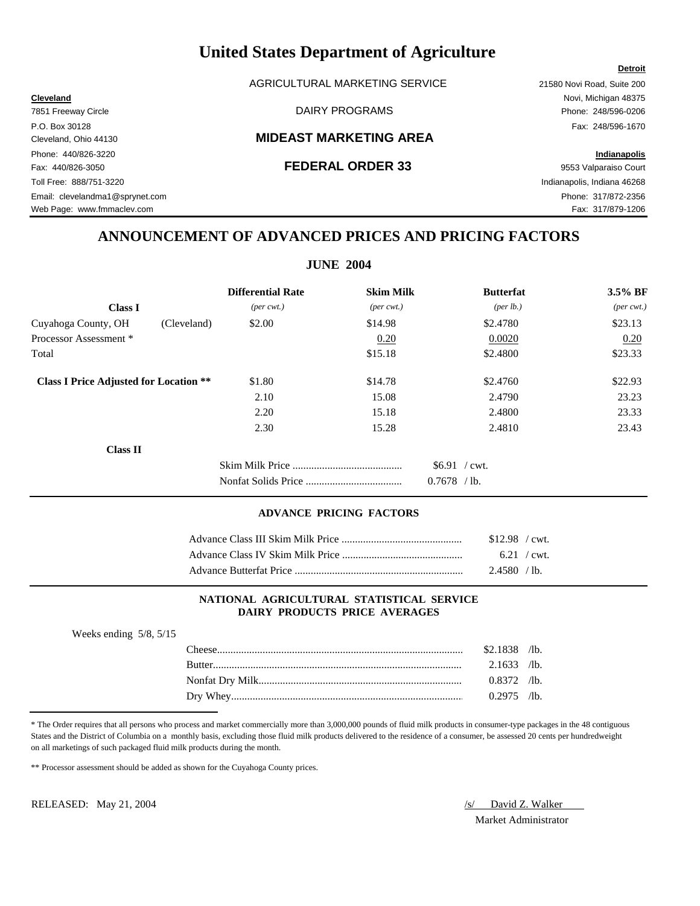AGRICULTURAL MARKETING SERVICE 21580 Novi Road, Suite 200

### Cleveland, Ohio 44130 **MIDEAST MARKETING AREA**

### Fax: 440/826-3050 **FEDERAL ORDER 33** 9553 Valparaiso Court

**Cleveland** Novi, Michigan 48375 7851 Freeway Circle **Example 248/596-0206** DAIRY PROGRAMS **Phone: 248/596-0206** P.O. Box 30128 Fax: 248/596-1670

**Detroit**

Toll Free: 888/751-3220 Indianapolis, Indiana 46268

# **ANNOUNCEMENT OF ADVANCED PRICES AND PRICING FACTORS**

**JUNE 2004**

|                                               | <b>Differential Rate</b>    | <b>Skim Milk</b>            | <b>Butterfat</b>   | 3.5% BF                     |
|-----------------------------------------------|-----------------------------|-----------------------------|--------------------|-----------------------------|
| <b>Class I</b>                                | $(\text{per} \text{ cwt.})$ | $(\text{per} \text{ cwt.})$ | $(\text{per lb.})$ | $(\text{per} \text{ cwt.})$ |
| Cuyahoga County, OH<br>(Cleveland)            | \$2.00                      | \$14.98                     | \$2.4780           | \$23.13                     |
| Processor Assessment *                        |                             | 0.20                        | 0.0020             | 0.20                        |
| Total                                         |                             | \$15.18                     | \$2.4800           | \$23.33                     |
| <b>Class I Price Adjusted for Location **</b> | \$1.80                      | \$14.78                     | \$2.4760           | \$22.93                     |
|                                               | 2.10                        | 15.08                       | 2.4790             | 23.23                       |
|                                               | 2.20                        | 15.18                       | 2.4800             | 23.33                       |
|                                               | 2.30                        | 15.28                       | 2.4810             | 23.43                       |
| <b>Class II</b>                               |                             |                             |                    |                             |
|                                               |                             |                             | $$6.91$ / cwt.     |                             |
|                                               |                             |                             | $0.7678$ /lb.      |                             |

### **ADVANCE PRICING FACTORS**

| $$12.98$ / cwt. |  |
|-----------------|--|
| $6.21$ / cwt.   |  |
| 2.4580 / lb.    |  |

### **NATIONAL AGRICULTURAL STATISTICAL SERVICE DAIRY PRODUCTS PRICE AVERAGES**

| Weeks ending $5/8$ , $5/15$ |                |  |
|-----------------------------|----------------|--|
|                             | $$2.1838$ /lb. |  |
|                             | $2.1633$ /lb.  |  |
|                             | $0.8372$ /lb.  |  |
|                             | $0.2975$ /lb.  |  |
|                             |                |  |

\* The Order requires that all persons who process and market commercially more than 3,000,000 pounds of fluid milk products in consumer-type packages in the 48 contiguous States and the District of Columbia on a monthly basis, excluding those fluid milk products delivered to the residence of a consumer, be assessed 20 cents per hundredweight on all marketings of such packaged fluid milk products during the month.

\*\* Processor assessment should be added as shown for the Cuyahoga County prices.

RELEASED: May 21, 2004 *(s)* David Z. Walker

Market Administrator

Phone: 440/826-3220 **Indianapolis**

Email: clevelandma1@sprynet.com Phone: 317/872-2356 Web Page: www.fmmaclev.com example of the state of the state of the state of the state of the State of Tax: 317/879-1206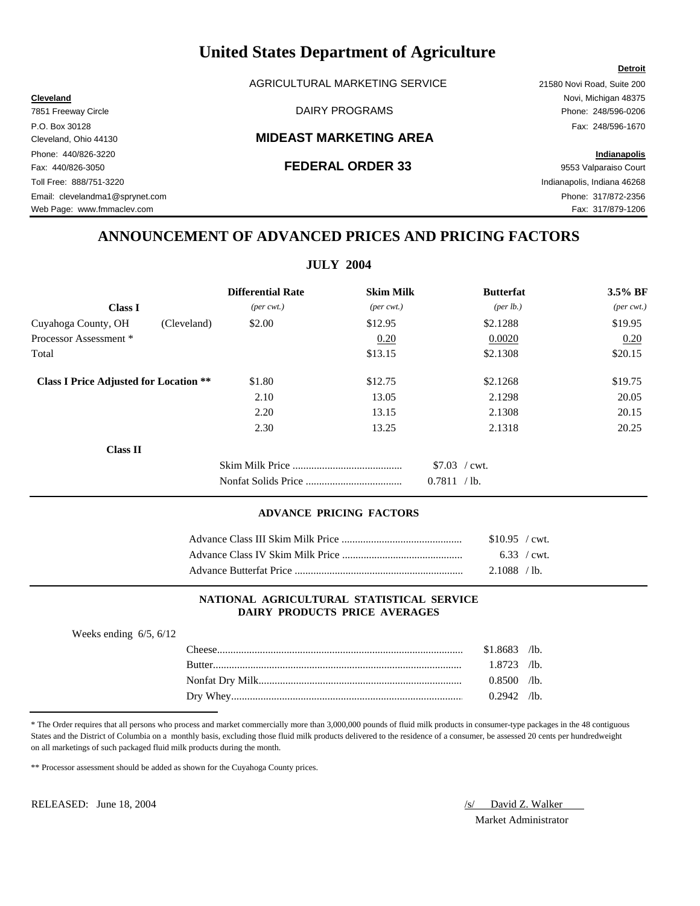AGRICULTURAL MARKETING SERVICE 21580 Novi Road, Suite 200

### Cleveland, Ohio 44130 **MIDEAST MARKETING AREA**

**Cleveland** Novi, Michigan 48375 7851 Freeway Circle **Example 248/596-0206** DAIRY PROGRAMS **Phone: 248/596-0206** 

Web Page: www.fmmaclev.com example of the state of the state of the state of the state of the State of Tax: 317/879-1206

# **ANNOUNCEMENT OF ADVANCED PRICES AND PRICING FACTORS**

**JULY 2004**

|                                               |             | <b>Differential Rate</b>    | <b>Skim Milk</b>            | <b>Butterfat</b>   | 3.5% BF                     |
|-----------------------------------------------|-------------|-----------------------------|-----------------------------|--------------------|-----------------------------|
| <b>Class I</b>                                |             | $(\text{per} \text{ cwt.})$ | $(\text{per} \text{ cwt.})$ | $(\text{per lb.})$ | $(\text{per} \text{ cwt.})$ |
| Cuyahoga County, OH                           | (Cleveland) | \$2.00                      | \$12.95                     | \$2.1288           | \$19.95                     |
| Processor Assessment *                        |             |                             | 0.20                        | 0.0020             | 0.20                        |
| Total                                         |             |                             | \$13.15                     | \$2.1308           | \$20.15                     |
| <b>Class I Price Adjusted for Location **</b> |             | \$1.80                      | \$12.75                     | \$2.1268           | \$19.75                     |
|                                               |             | 2.10                        | 13.05                       | 2.1298             | 20.05                       |
|                                               |             | 2.20                        | 13.15                       | 2.1308             | 20.15                       |
|                                               |             | 2.30                        | 13.25                       | 2.1318             | 20.25                       |
| <b>Class II</b>                               |             |                             |                             |                    |                             |
|                                               |             |                             |                             | $$7.03$ / cwt.     |                             |
|                                               |             |                             |                             | 0.7811 / lb.       |                             |

### **ADVANCE PRICING FACTORS**

| $$10.95$ / cwt.     |  |
|---------------------|--|
| $6.33 / \text{cwt}$ |  |
| 2.1088 / lb.        |  |

### **NATIONAL AGRICULTURAL STATISTICAL SERVICE DAIRY PRODUCTS PRICE AVERAGES**

| Weeks ending $6/5$ , $6/12$ |                |  |
|-----------------------------|----------------|--|
|                             | $$1.8683$ /lb. |  |
|                             | $1.8723$ /lb.  |  |
|                             | $0.8500$ /lb.  |  |
|                             | $0.2942$ /lb.  |  |
|                             |                |  |

\* The Order requires that all persons who process and market commercially more than 3,000,000 pounds of fluid milk products in consumer-type packages in the 48 contiguous States and the District of Columbia on a monthly basis, excluding those fluid milk products delivered to the residence of a consumer, be assessed 20 cents per hundredweight on all marketings of such packaged fluid milk products during the month.

\*\* Processor assessment should be added as shown for the Cuyahoga County prices.

RELEASED: June 18, 2004  $\sqrt{s}$  David Z. Walker

Market Administrator

Phone: 440/826-3220 **Indianapolis** Fax: 440/826-3050 **FEDERAL ORDER 33** 9553 Valparaiso Court Toll Free: 888/751-3220 Indianapolis, Indiana 46268 Email: clevelandma1@sprynet.com Phone: 317/872-2356

**Detroit**

P.O. Box 30128 Fax: 248/596-1670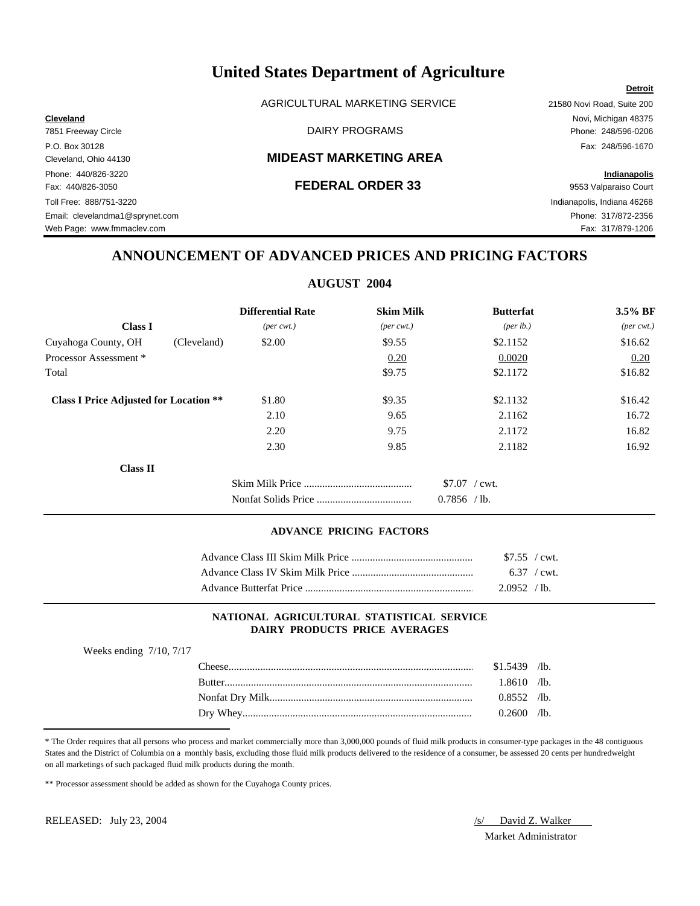AGRICULTURAL MARKETING SERVICE 21580 Novi Road, Suite 200

### Cleveland, Ohio 44130 **MIDEAST MARKETING AREA**

Phone: 440/826-3220 **Indianapolis** Fax: 440/826-3050 **FEDERAL ORDER 33** 9553 Valparaiso Court Toll Free: 888/751-3220 Indianapolis, Indiana 46268 Email: clevelandma1@sprynet.com Phone: 317/872-2356 Web Page: www.fmmaclev.com example of the state of the state of the state of the state of the State of the State of Tax: 317/879-1206

**Cleveland** Novi, Michigan 48375 7851 Freeway Circle DAIRY PROGRAMS Phone: 248/596-0206 P.O. Box 30128 Fax: 248/596-1670

**Detroit**

# **ANNOUNCEMENT OF ADVANCED PRICES AND PRICING FACTORS**

### **AUGUST 2004**

|                                               | <b>Differential Rate</b>    | <b>Skim Milk</b>            | <b>Butterfat</b>                    | 3.5% BF                     |
|-----------------------------------------------|-----------------------------|-----------------------------|-------------------------------------|-----------------------------|
| <b>Class I</b>                                | $(\text{per} \text{ cwt.})$ | $(\text{per} \text{ cwt.})$ | (per lb.)                           | $(\text{per} \text{ cwt.})$ |
| Cuyahoga County, OH<br>(Cleveland)            | \$2.00                      | \$9.55                      | \$2.1152                            | \$16.62                     |
| Processor Assessment *                        |                             | 0.20                        | 0.0020                              | 0.20                        |
| Total                                         |                             | \$9.75                      | \$2.1172                            | \$16.82                     |
| <b>Class I Price Adjusted for Location **</b> | \$1.80                      | \$9.35                      | \$2.1132                            | \$16.42                     |
|                                               | 2.10                        | 9.65                        | 2.1162                              | 16.72                       |
|                                               | 2.20                        | 9.75                        | 2.1172                              | 16.82                       |
|                                               | 2.30                        | 9.85                        | 2.1182                              | 16.92                       |
| <b>Class II</b>                               |                             |                             |                                     |                             |
|                                               |                             |                             | $$7.07$ / cwt.<br>0.7856<br>$/1b$ . |                             |

### **ADVANCE PRICING FACTORS**

| $$7.55$ / cwt.        |  |
|-----------------------|--|
| $6.37 / \text{cwt}$ . |  |
| 2.0952 / lb.          |  |

### **NATIONAL AGRICULTURAL STATISTICAL SERVICE DAIRY PRODUCTS PRICE AVERAGES**

| Weeks ending $7/10$ , $7/17$ |                |  |
|------------------------------|----------------|--|
|                              | $$1.5439$ /lb. |  |
| <b>Rutter</b>                | $1.8610$ /lb.  |  |
|                              | $0.8552$ /lb.  |  |
|                              | $0.2600$ /lb.  |  |

\* The Order requires that all persons who process and market commercially more than 3,000,000 pounds of fluid milk products in consumer-type packages in the 48 contiguous States and the District of Columbia on a monthly basis, excluding those fluid milk products delivered to the residence of a consumer, be assessed 20 cents per hundredweight on all marketings of such packaged fluid milk products during the month.

\*\* Processor assessment should be added as shown for the Cuyahoga County prices.

RELEASED: July 23, 2004 */s/ David Z. Walker* 

Market Administrator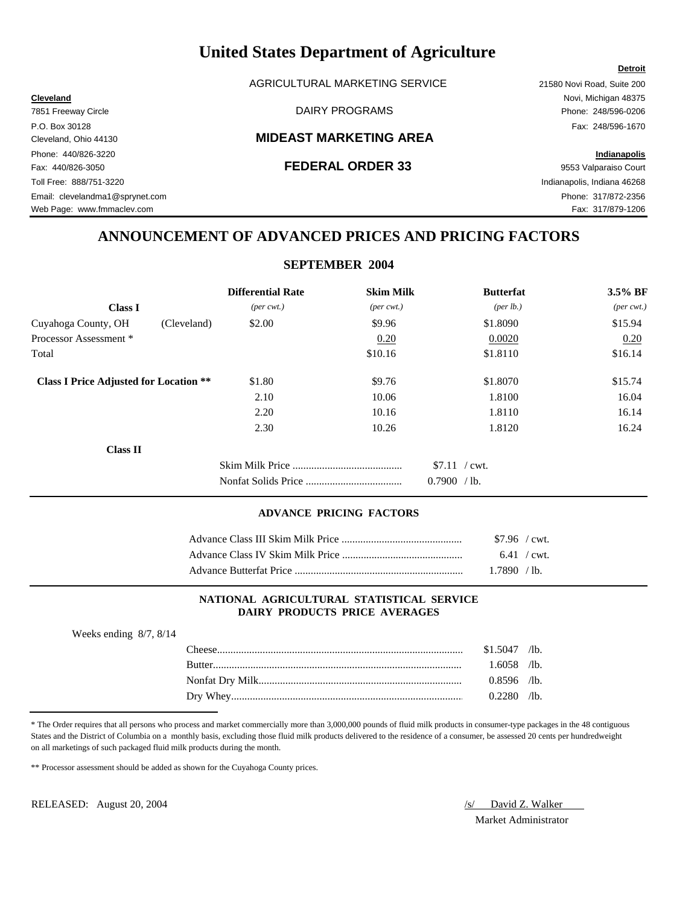AGRICULTURAL MARKETING SERVICE 21580 Novi Road, Suite 200

### Cleveland, Ohio 44130 **MIDEAST MARKETING AREA**

### Fax: 440/826-3050 **FEDERAL ORDER 33** 9553 Valparaiso Court

**Cleveland** Novi, Michigan 48375

Toll Free: 888/751-3220 Indianapolis, Indiana 46268

## **ANNOUNCEMENT OF ADVANCED PRICES AND PRICING FACTORS**

## **SEPTEMBER 2004**

|                                               | <b>Differential Rate</b>    | <b>Skim Milk</b>            | <b>Butterfat</b>   | 3.5% BF                     |
|-----------------------------------------------|-----------------------------|-----------------------------|--------------------|-----------------------------|
| <b>Class I</b>                                | $(\text{per} \text{ cwt.})$ | $(\text{per} \text{ cwt.})$ | $(\text{per lb.})$ | $(\text{per} \text{ cwt.})$ |
| Cuyahoga County, OH<br>(Cleveland)            | \$2.00                      | \$9.96                      | \$1.8090           | \$15.94                     |
| Processor Assessment *                        |                             | 0.20                        | 0.0020             | 0.20                        |
| Total                                         |                             | \$10.16                     | \$1.8110           | \$16.14                     |
| <b>Class I Price Adjusted for Location **</b> | \$1.80                      | \$9.76                      | \$1.8070           | \$15.74                     |
|                                               | 2.10                        | 10.06                       | 1.8100             | 16.04                       |
|                                               | 2.20                        | 10.16                       | 1.8110             | 16.14                       |
|                                               | 2.30                        | 10.26                       | 1.8120             | 16.24                       |
| <b>Class II</b>                               |                             |                             |                    |                             |
|                                               |                             |                             | $$7.11$ / cwt.     |                             |
|                                               |                             |                             | 0.7900 / lb.       |                             |

### **ADVANCE PRICING FACTORS**

| $$7.96$ / cwt. |  |
|----------------|--|
| $6.41$ / cwt.  |  |
| 1.7890 / lb.   |  |

### **NATIONAL AGRICULTURAL STATISTICAL SERVICE DAIRY PRODUCTS PRICE AVERAGES**

| Weeks ending $8/7$ , $8/14$ |                |  |
|-----------------------------|----------------|--|
|                             | $$1.5047$ /lb. |  |
|                             | $1.6058$ /lb.  |  |
|                             | $0.8596$ /lb.  |  |
|                             | $0.2280$ /lb.  |  |
|                             |                |  |

\* The Order requires that all persons who process and market commercially more than 3,000,000 pounds of fluid milk products in consumer-type packages in the 48 contiguous States and the District of Columbia on a monthly basis, excluding those fluid milk products delivered to the residence of a consumer, be assessed 20 cents per hundredweight on all marketings of such packaged fluid milk products during the month.

\*\* Processor assessment should be added as shown for the Cuyahoga County prices.

RELEASED: August 20, 2004 *(s)* David Z. Walker

Market Administrator

7851 Freeway Circle **Example 248/596-0206** DAIRY PROGRAMS **Phone: 248/596-0206** P.O. Box 30128 Fax: 248/596-1670 Phone: 440/826-3220 **Indianapolis**

Email: clevelandma1@sprynet.com Phone: 317/872-2356 Web Page: www.fmmaclev.com example of the state of the state of the state of the state of the State of Tax: 317/879-1206

**Detroit**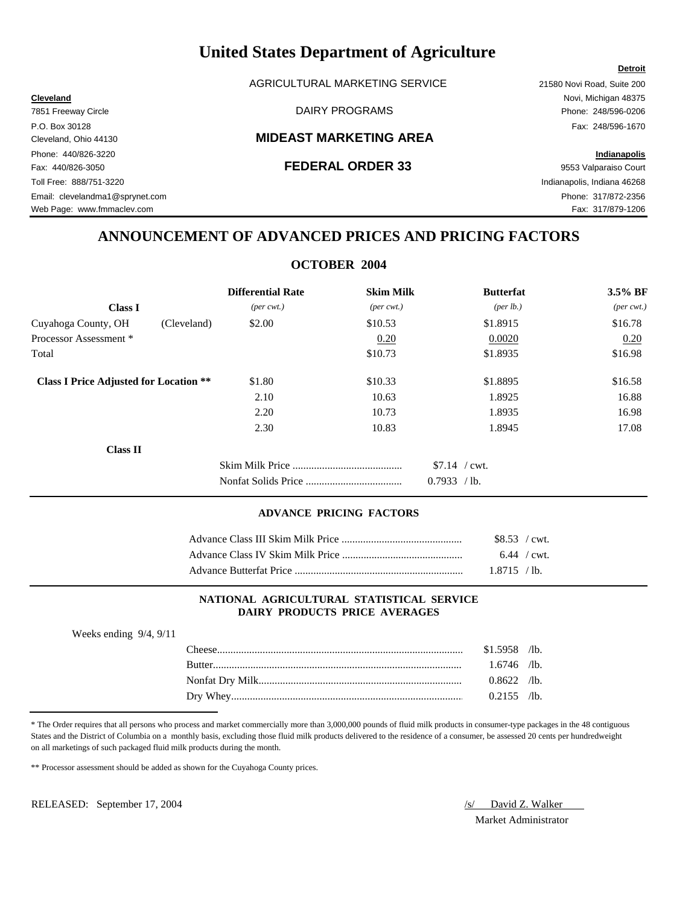AGRICULTURAL MARKETING SERVICE 21580 Novi Road, Suite 200

### Cleveland, Ohio 44130 **MIDEAST MARKETING AREA**

7851 Freeway Circle **Example 248/596-0206** DAIRY PROGRAMS **Phone: 248/596-0206** P.O. Box 30128 Fax: 248/596-1670

Web Page: www.fmmaclev.com example of the state of the state of the state of the state of the S17/879-1206

## **ANNOUNCEMENT OF ADVANCED PRICES AND PRICING FACTORS**

## **OCTOBER 2004**

|                                               | <b>Differential Rate</b>    | <b>Skim Milk</b>            | <b>Butterfat</b>  | 3.5% BF                     |
|-----------------------------------------------|-----------------------------|-----------------------------|-------------------|-----------------------------|
| <b>Class I</b>                                | $(\text{per} \text{ cwt.})$ | $(\text{per} \text{ cwt.})$ | (per lb.)         | $(\text{per} \text{ cwt.})$ |
| Cuyahoga County, OH<br>(Cleveland)            | \$2.00                      | \$10.53                     | \$1.8915          | \$16.78                     |
| Processor Assessment *                        |                             | 0.20                        | 0.0020            | 0.20                        |
| Total                                         |                             | \$10.73                     | \$1.8935          | \$16.98                     |
| <b>Class I Price Adjusted for Location **</b> | \$1.80                      | \$10.33                     | \$1.8895          | \$16.58                     |
|                                               | 2.10                        | 10.63                       | 1.8925            | 16.88                       |
|                                               | 2.20                        | 10.73                       | 1.8935            | 16.98                       |
|                                               | 2.30                        | 10.83                       | 1.8945            | 17.08                       |
| <b>Class II</b>                               |                             |                             |                   |                             |
|                                               |                             |                             | $$7.14$ / cwt.    |                             |
|                                               |                             |                             | 0.7933<br>$/1b$ . |                             |

### **ADVANCE PRICING FACTORS**

| $$8.53$ / cwt. |  |
|----------------|--|
| $6.44$ / cwt.  |  |
| 1.8715 / lb.   |  |

### **NATIONAL AGRICULTURAL STATISTICAL SERVICE DAIRY PRODUCTS PRICE AVERAGES**

| Weeks ending $9/4$ , $9/11$ |               |                |  |
|-----------------------------|---------------|----------------|--|
|                             |               | $$1.5958$ /lb. |  |
|                             | <b>Butter</b> | 1.6746 /lb.    |  |
|                             |               | $0.8622$ /lb.  |  |
|                             |               | $0.2155$ /lb.  |  |

\* The Order requires that all persons who process and market commercially more than 3,000,000 pounds of fluid milk products in consumer-type packages in the 48 contiguous States and the District of Columbia on a monthly basis, excluding those fluid milk products delivered to the residence of a consumer, be assessed 20 cents per hundredweight on all marketings of such packaged fluid milk products during the month.

\*\* Processor assessment should be added as shown for the Cuyahoga County prices.

RELEASED: September 17, 2004 */s/ David Z. Walker* 

Market Administrator

**Cleveland** Novi, Michigan 48375

Phone: 440/826-3220 **Indianapolis** Fax: 440/826-3050 **FEDERAL ORDER 33** 9553 Valparaiso Court Toll Free: 888/751-3220 Indianapolis, Indiana 46268 Email: clevelandma1@sprynet.com Phone: 317/872-2356

**Detroit**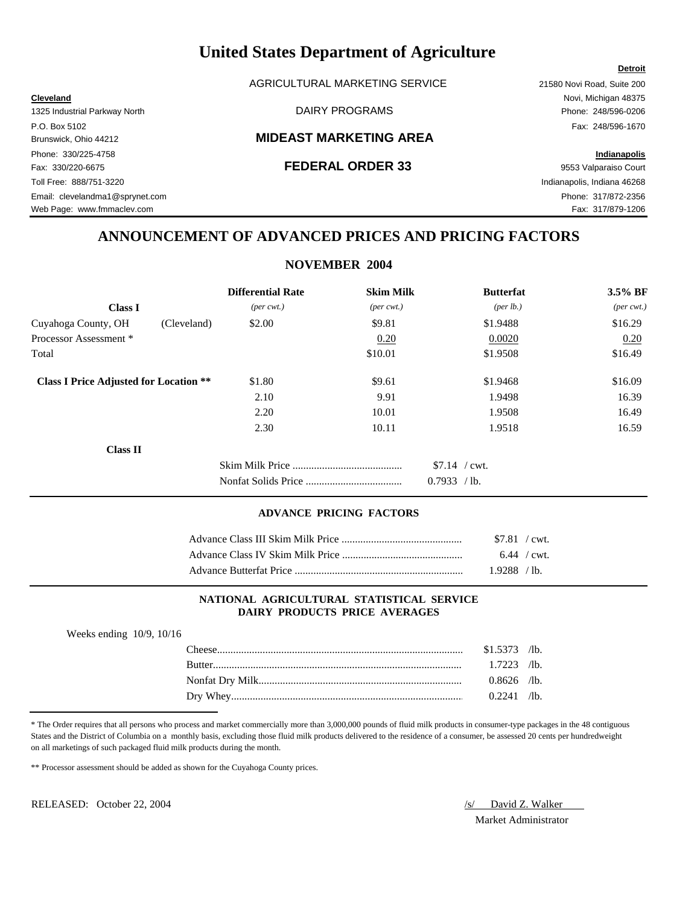AGRICULTURAL MARKETING SERVICE 21580 Novi Road, Suite 200

### Brunswick, Ohio 44212 **MIDEAST MARKETING AREA**

Fax: 330/220-6675 **FEDERAL ORDER 33** 9553 Valparaiso Court

**Cleveland** Novi, Michigan 48375

Web Page: www.fmmaclev.com example of the state of the state of the state of the state of the S17/879-1206

# **ANNOUNCEMENT OF ADVANCED PRICES AND PRICING FACTORS**

### **NOVEMBER 2004**

|                                               | <b>Differential Rate</b>    | <b>Skim Milk</b>            | <b>Butterfat</b>     | 3.5% BF                     |
|-----------------------------------------------|-----------------------------|-----------------------------|----------------------|-----------------------------|
| <b>Class I</b>                                | $(\text{per} \text{ cwt.})$ | $(\text{per} \text{ cwt.})$ | ${\rm (per \, lb.)}$ | $(\text{per} \text{ cwt.})$ |
| Cuyahoga County, OH<br>(Cleveland)            | \$2.00                      | \$9.81                      | \$1.9488             | \$16.29                     |
| Processor Assessment *                        |                             | 0.20                        | 0.0020               | 0.20                        |
| Total                                         |                             | \$10.01                     | \$1.9508             | \$16.49                     |
| <b>Class I Price Adjusted for Location **</b> | \$1.80                      | \$9.61                      | \$1.9468             | \$16.09                     |
|                                               | 2.10                        | 9.91                        | 1.9498               | 16.39                       |
|                                               | 2.20                        | 10.01                       | 1.9508               | 16.49                       |
|                                               | 2.30                        | 10.11                       | 1.9518               | 16.59                       |
| <b>Class II</b>                               |                             |                             |                      |                             |
|                                               |                             |                             | $$7.14$ / cwt.       |                             |
|                                               |                             |                             | 0.7933<br>$/1b$ .    |                             |

### **ADVANCE PRICING FACTORS**

| $$7.81$ / cwt. |  |
|----------------|--|
| $6.44$ / cwt.  |  |
| $1.9288$ /lb.  |  |

### **NATIONAL AGRICULTURAL STATISTICAL SERVICE DAIRY PRODUCTS PRICE AVERAGES**

| Weeks ending $10/9$ , $10/16$ |                |  |
|-------------------------------|----------------|--|
|                               | $$1.5373$ /lb. |  |
| Rutter                        | $1.7223$ /lb.  |  |
|                               | $0.8626$ /lb.  |  |
|                               | $0.2241$ /lb.  |  |

\* The Order requires that all persons who process and market commercially more than 3,000,000 pounds of fluid milk products in consumer-type packages in the 48 contiguous States and the District of Columbia on a monthly basis, excluding those fluid milk products delivered to the residence of a consumer, be assessed 20 cents per hundredweight on all marketings of such packaged fluid milk products during the month.

\*\* Processor assessment should be added as shown for the Cuyahoga County prices.

RELEASED: October 22, 2004 *S/ David Z. Walker* 

Market Administrator

**Detroit**

1325 Industrial Parkway North DAIRY PROGRAMS Phone: 248/596-0206 P.O. Box 5102 Fax: 248/596-1670 Phone: 330/225-4758 **Indianapolis** Toll Free: 888/751-3220 Indianapolis, Indiana 46268 Email: clevelandma1@sprynet.com Phone: 317/872-2356